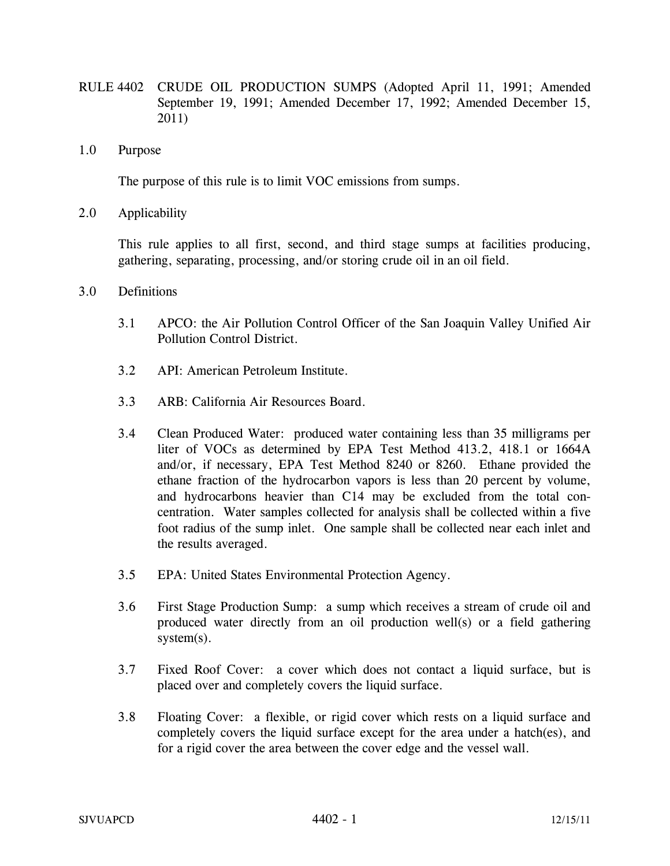- RULE 4402 CRUDE OIL PRODUCTION SUMPS (Adopted April 11, 1991; Amended September 19, 1991; Amended December 17, 1992; Amended December 15, 2011)
- 1.0 Purpose

The purpose of this rule is to limit VOC emissions from sumps.

2.0 Applicability

 This rule applies to all first, second, and third stage sumps at facilities producing, gathering, separating, processing, and/or storing crude oil in an oil field.

- 3.0 Definitions
	- 3.1 APCO: the Air Pollution Control Officer of the San Joaquin Valley Unified Air Pollution Control District.
	- 3.2 API: American Petroleum Institute.
	- 3.3 ARB: California Air Resources Board.
	- 3.4 Clean Produced Water: produced water containing less than 35 milligrams per liter of VOCs as determined by EPA Test Method 413.2, 418.1 or 1664A and/or, if necessary, EPA Test Method 8240 or 8260. Ethane provided the ethane fraction of the hydrocarbon vapors is less than 20 percent by volume, and hydrocarbons heavier than C14 may be excluded from the total concentration. Water samples collected for analysis shall be collected within a five foot radius of the sump inlet. One sample shall be collected near each inlet and the results averaged.
	- 3.5 EPA: United States Environmental Protection Agency.
	- 3.6 First Stage Production Sump: a sump which receives a stream of crude oil and produced water directly from an oil production well(s) or a field gathering system(s).
	- 3.7 Fixed Roof Cover: a cover which does not contact a liquid surface, but is placed over and completely covers the liquid surface.
	- 3.8 Floating Cover: a flexible, or rigid cover which rests on a liquid surface and completely covers the liquid surface except for the area under a hatch(es), and for a rigid cover the area between the cover edge and the vessel wall.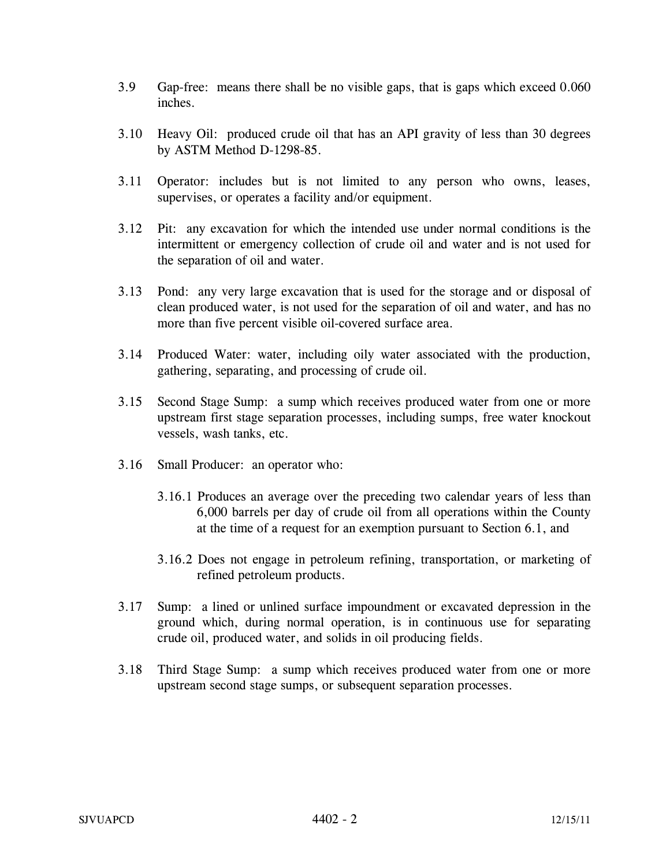- 3.9 Gap-free: means there shall be no visible gaps, that is gaps which exceed 0.060 inches.
- 3.10 Heavy Oil: produced crude oil that has an API gravity of less than 30 degrees by ASTM Method D-1298-85.
- 3.11 Operator: includes but is not limited to any person who owns, leases, supervises, or operates a facility and/or equipment.
- 3.12 Pit: any excavation for which the intended use under normal conditions is the intermittent or emergency collection of crude oil and water and is not used for the separation of oil and water.
- 3.13 Pond: any very large excavation that is used for the storage and or disposal of clean produced water, is not used for the separation of oil and water, and has no more than five percent visible oil-covered surface area.
- 3.14 Produced Water: water, including oily water associated with the production, gathering, separating, and processing of crude oil.
- 3.15 Second Stage Sump: a sump which receives produced water from one or more upstream first stage separation processes, including sumps, free water knockout vessels, wash tanks, etc.
- 3.16 Small Producer: an operator who:
	- 3.16.1 Produces an average over the preceding two calendar years of less than 6,000 barrels per day of crude oil from all operations within the County at the time of a request for an exemption pursuant to Section 6.1, and
	- 3.16.2 Does not engage in petroleum refining, transportation, or marketing of refined petroleum products.
- 3.17 Sump: a lined or unlined surface impoundment or excavated depression in the ground which, during normal operation, is in continuous use for separating crude oil, produced water, and solids in oil producing fields.
- 3.18 Third Stage Sump: a sump which receives produced water from one or more upstream second stage sumps, or subsequent separation processes.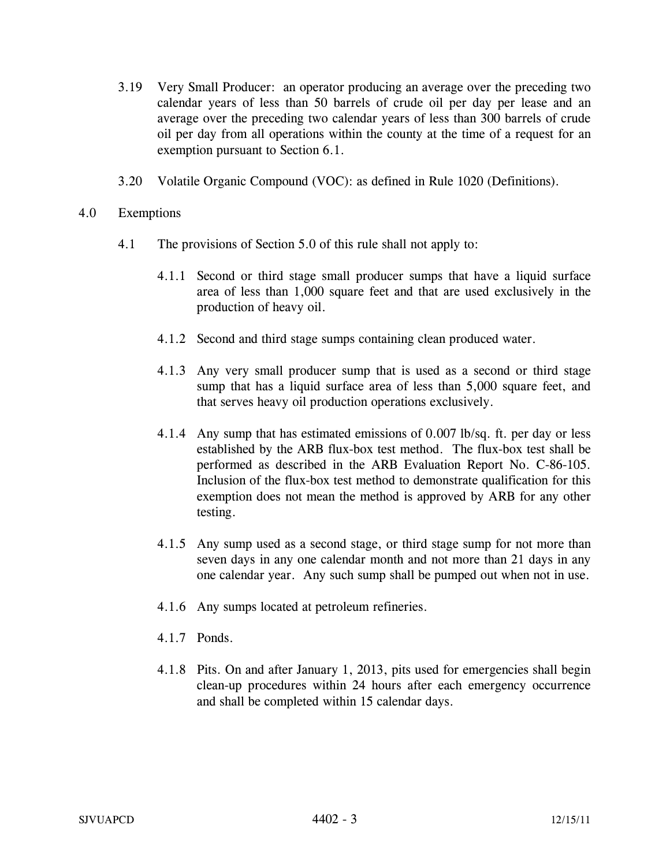- 3.19 Very Small Producer: an operator producing an average over the preceding two calendar years of less than 50 barrels of crude oil per day per lease and an average over the preceding two calendar years of less than 300 barrels of crude oil per day from all operations within the county at the time of a request for an exemption pursuant to Section 6.1.
- 3.20 Volatile Organic Compound (VOC): as defined in Rule 1020 (Definitions).

## 4.0 Exemptions

- 4.1 The provisions of Section 5.0 of this rule shall not apply to:
	- 4.1.1 Second or third stage small producer sumps that have a liquid surface area of less than 1,000 square feet and that are used exclusively in the production of heavy oil.
	- 4.1.2 Second and third stage sumps containing clean produced water.
	- 4.1.3 Any very small producer sump that is used as a second or third stage sump that has a liquid surface area of less than 5,000 square feet, and that serves heavy oil production operations exclusively.
	- 4.1.4 Any sump that has estimated emissions of 0.007 lb/sq. ft. per day or less established by the ARB flux-box test method. The flux-box test shall be performed as described in the ARB Evaluation Report No. C-86-105. Inclusion of the flux-box test method to demonstrate qualification for this exemption does not mean the method is approved by ARB for any other testing.
	- 4.1.5 Any sump used as a second stage, or third stage sump for not more than seven days in any one calendar month and not more than 21 days in any one calendar year. Any such sump shall be pumped out when not in use.
	- 4.1.6 Any sumps located at petroleum refineries.
	- 4.1.7 Ponds.
	- 4.1.8 Pits. On and after January 1, 2013, pits used for emergencies shall begin clean-up procedures within 24 hours after each emergency occurrence and shall be completed within 15 calendar days.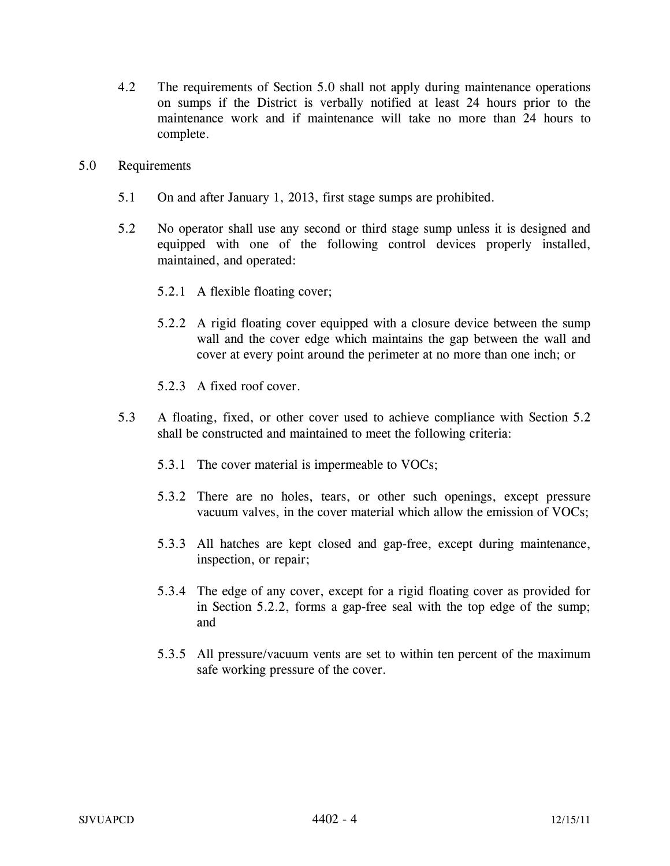- 4.2 The requirements of Section 5.0 shall not apply during maintenance operations on sumps if the District is verbally notified at least 24 hours prior to the maintenance work and if maintenance will take no more than 24 hours to complete.
- 5.0 Requirements
	- 5.1 On and after January 1, 2013, first stage sumps are prohibited.
	- 5.2 No operator shall use any second or third stage sump unless it is designed and equipped with one of the following control devices properly installed, maintained, and operated:
		- 5.2.1 A flexible floating cover;
		- 5.2.2 A rigid floating cover equipped with a closure device between the sump wall and the cover edge which maintains the gap between the wall and cover at every point around the perimeter at no more than one inch; or
		- 5.2.3 A fixed roof cover.
	- 5.3 A floating, fixed, or other cover used to achieve compliance with Section 5.2 shall be constructed and maintained to meet the following criteria:
		- 5.3.1 The cover material is impermeable to VOCs;
		- 5.3.2 There are no holes, tears, or other such openings, except pressure vacuum valves, in the cover material which allow the emission of VOCs;
		- 5.3.3 All hatches are kept closed and gap-free, except during maintenance, inspection, or repair;
		- 5.3.4 The edge of any cover, except for a rigid floating cover as provided for in Section 5.2.2, forms a gap-free seal with the top edge of the sump; and
		- 5.3.5 All pressure/vacuum vents are set to within ten percent of the maximum safe working pressure of the cover.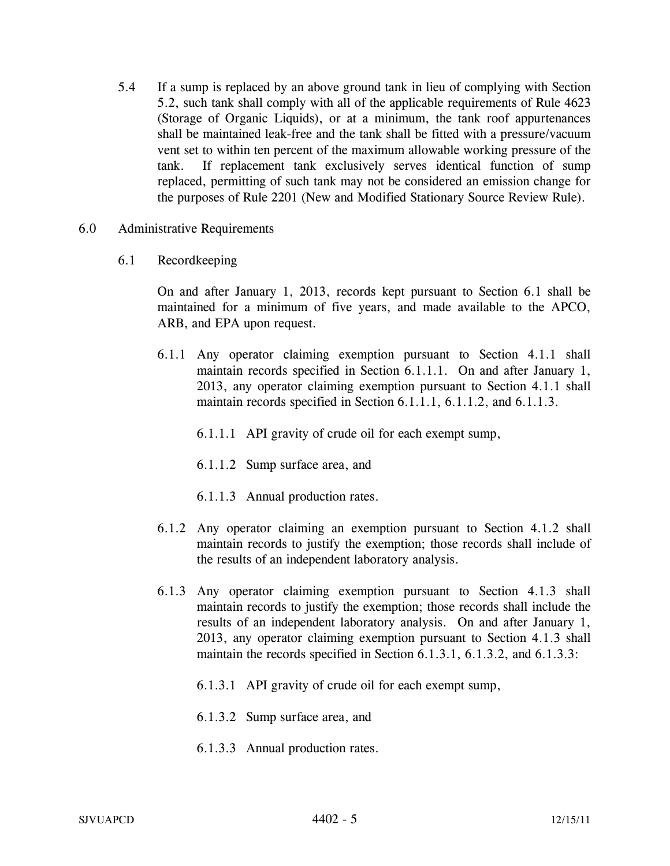- 5.4 If a sump is replaced by an above ground tank in lieu of complying with Section 5.2, such tank shall comply with all of the applicable requirements of Rule 4623 (Storage of Organic Liquids), or at a minimum, the tank roof appurtenances shall be maintained leak-free and the tank shall be fitted with a pressure/vacuum vent set to within ten percent of the maximum allowable working pressure of the tank. If replacement tank exclusively serves identical function of sump replaced, permitting of such tank may not be considered an emission change for the purposes of Rule 2201 (New and Modified Stationary Source Review Rule).
- 6.0 Administrative Requirements
	- 6.1 Recordkeeping

On and after January 1, 2013, records kept pursuant to Section 6.1 shall be maintained for a minimum of five years, and made available to the APCO, ARB, and EPA upon request.

- 6.1.1 Any operator claiming exemption pursuant to Section 4.1.1 shall maintain records specified in Section 6.1.1.1. On and after January 1, 2013, any operator claiming exemption pursuant to Section 4.1.1 shall maintain records specified in Section 6.1.1.1, 6.1.1.2, and 6.1.1.3.
	- 6.1.1.1 API gravity of crude oil for each exempt sump,
	- 6.1.1.2 Sump surface area, and
	- 6.1.1.3 Annual production rates.
- 6.1.2 Any operator claiming an exemption pursuant to Section 4.1.2 shall maintain records to justify the exemption; those records shall include of the results of an independent laboratory analysis.
- 6.1.3 Any operator claiming exemption pursuant to Section 4.1.3 shall maintain records to justify the exemption; those records shall include the results of an independent laboratory analysis. On and after January 1, 2013, any operator claiming exemption pursuant to Section 4.1.3 shall maintain the records specified in Section 6.1.3.1, 6.1.3.2, and 6.1.3.3:
	- 6.1.3.1 API gravity of crude oil for each exempt sump,
	- 6.1.3.2 Sump surface area, and
	- 6.1.3.3 Annual production rates.